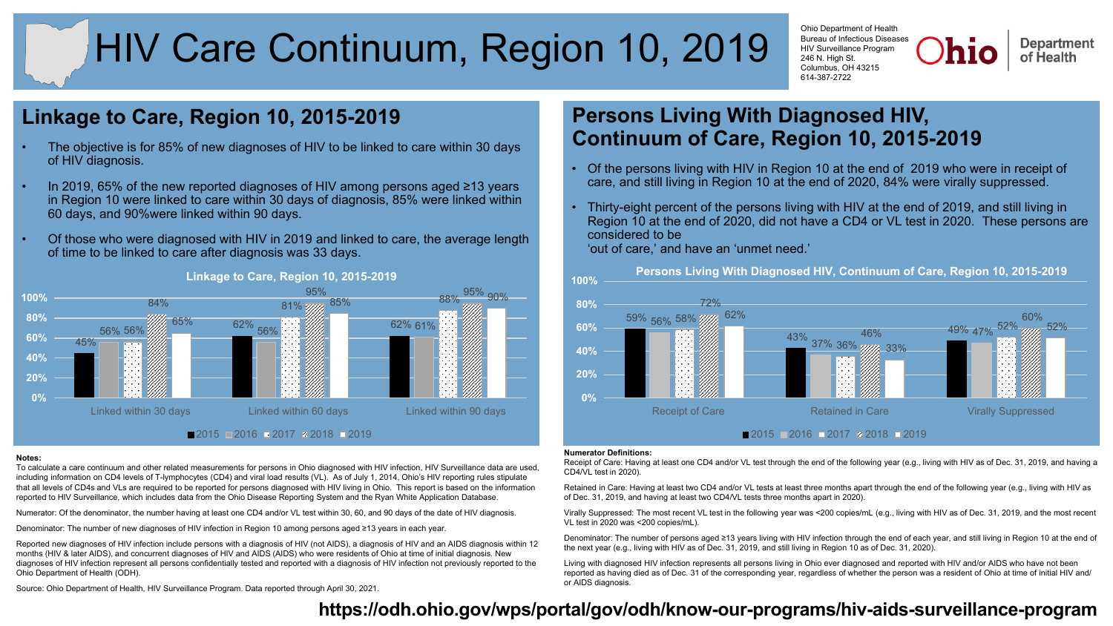# HIV Care Continuum, Region 10, 2019

Ohio Department of Health Bureau of Infectious Diseases HIV Surveillance Program 246 N. High St. Columbus, OH 43215 614-387-2722

**Department** of Health

## **Linkage to Care, Region 10, 2015-2019**

- The objective is for 85% of new diagnoses of HIV to be linked to care within 30 days of HIV diagnosis.
- In 2019, 65% of the new reported diagnoses of HIV among persons aged ≥13 years in Region 10 were linked to care within 30 days of diagnosis, 85% were linked within 60 days, and 90%were linked within 90 days.
- Of those who were diagnosed with HIV in 2019 and linked to care, the average length of time to be linked to care after diagnosis was 33 days.



#### **Notes:**

To calculate a care continuum and other related measurements for persons in Ohio diagnosed with HIV infection, HIV Surveillance data are used, including information on CD4 levels of T-lymphocytes (CD4) and viral load results (VL). As of July 1, 2014, Ohio's HIV reporting rules stipulate that all levels of CD4s and VLs are required to be reported for persons diagnosed with HIV living in Ohio. This report is based on the information reported to HIV Surveillance, which includes data from the Ohio Disease Reporting System and the Ryan White Application Database.

Numerator: Of the denominator, the number having at least one CD4 and/or VL test within 30, 60, and 90 days of the date of HIV diagnosis.

Denominator: The number of new diagnoses of HIV infection in Region 10 among persons aged ≥13 years in each year.

Reported new diagnoses of HIV infection include persons with a diagnosis of HIV (not AIDS), a diagnosis of HIV and an AIDS diagnosis within 12 months (HIV & later AIDS), and concurrent diagnoses of HIV and AIDS (AIDS) who were residents of Ohio at time of initial diagnosis. New diagnoses of HIV infection represent all persons confidentially tested and reported with a diagnosis of HIV infection not previously reported to the Ohio Department of Health (ODH).

Source: Ohio Department of Health, HIV Surveillance Program. Data reported through April 30, 2021.

## **Persons Living With Diagnosed HIV, Continuum of Care, Region 10, 2015-2019**

- Of the persons living with HIV in Region 10 at the end of 2019 who were in receipt of care, and still living in Region 10 at the end of 2020, 84% were virally suppressed.
- Thirty-eight percent of the persons living with HIV at the end of 2019, and still living in Region 10 at the end of 2020, did not have a CD4 or VL test in 2020. These persons are considered to be 'out of care,' and have an 'unmet need.'



#### **Numerator Definitions:**

Receipt of Care: Having at least one CD4 and/or VL test through the end of the following year (e.g., living with HIV as of Dec. 31, 2019, and having a CD4/VL test in 2020).

Retained in Care: Having at least two CD4 and/or VL tests at least three months apart through the end of the following year (e.g., living with HIV as of Dec. 31, 2019, and having at least two CD4/VL tests three months apart in 2020).

Virally Suppressed: The most recent VL test in the following year was <200 copies/mL (e.g., living with HIV as of Dec. 31, 2019, and the most recent VL test in 2020 was <200 copies/mL).

Denominator: The number of persons aged ≥13 years living with HIV infection through the end of each year, and still living in Region 10 at the end of the next year (e.g., living with HIV as of Dec. 31, 2019, and still living in Region 10 as of Dec. 31, 2020).

Living with diagnosed HIV infection represents all persons living in Ohio ever diagnosed and reported with HIV and/or AIDS who have not been reported as having died as of Dec. 31 of the corresponding year, regardless of whether the person was a resident of Ohio at time of initial HIV and/ or AIDS diagnosis.

## **https://odh.[ohio.gov/wps/portal/gov/odh/know-our-programs/hiv-aids-surveillance-program](https://odh.ohio.gov/wps/portal/gov/odh/know-our-programs/hiv-aids-surveillance-program)**

#### **Linkage to Care, Region 10, 2015-2019**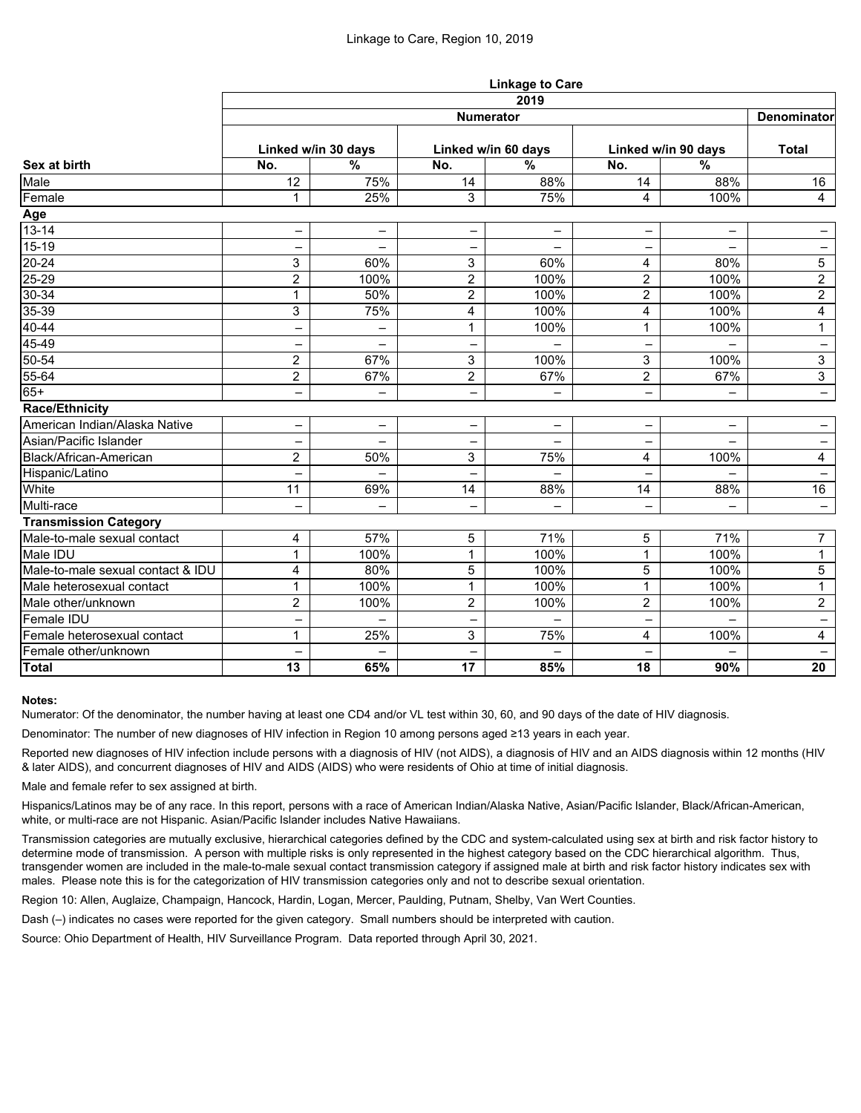|                                   | <b>Linkage to Care</b>   |                          |                          |                          |                          |                          |                          |  |  |  |
|-----------------------------------|--------------------------|--------------------------|--------------------------|--------------------------|--------------------------|--------------------------|--------------------------|--|--|--|
|                                   | 2019                     |                          |                          |                          |                          |                          |                          |  |  |  |
| Sex at birth                      | <b>Numerator</b>         |                          |                          |                          |                          |                          |                          |  |  |  |
|                                   | Linked w/in 30 days      |                          | Linked w/in 60 days      |                          | Linked w/in 90 days      |                          | <b>Total</b>             |  |  |  |
|                                   | No.                      | $\frac{0}{0}$            | No.                      | $\frac{9}{6}$            | No.                      | $\frac{0}{6}$            |                          |  |  |  |
| Male                              | 12                       | 75%                      | 14                       | 88%                      | 14                       | 88%                      | 16                       |  |  |  |
| Female                            | 1                        | 25%                      | 3                        | 75%                      | 4                        | 100%                     | $\overline{4}$           |  |  |  |
| Age                               |                          |                          |                          |                          |                          |                          |                          |  |  |  |
| $13 - 14$                         | $\overline{\phantom{0}}$ | $\overline{\phantom{0}}$ | $\overline{\phantom{0}}$ | ═                        |                          | $\overline{\phantom{0}}$ | $\qquad \qquad -$        |  |  |  |
| $15-19$                           |                          | $\overline{\phantom{0}}$ |                          |                          |                          |                          | $\overline{\phantom{m}}$ |  |  |  |
| $20 - 24$                         | 3                        | 60%                      | 3                        | 60%                      | $\overline{4}$           | 80%                      | 5                        |  |  |  |
| $25 - 29$                         | $\overline{2}$           | 100%                     | $\overline{2}$           | 100%                     | $\overline{2}$           | 100%                     | $\overline{2}$           |  |  |  |
| $30 - 34$                         | $\mathbf{1}$             | 50%                      | $\overline{2}$           | 100%                     | $\overline{2}$           | 100%                     | $\overline{2}$           |  |  |  |
| $35 - 39$                         | 3                        | 75%                      | 4                        | 100%                     | $\overline{\mathbf{4}}$  | 100%                     | $\overline{4}$           |  |  |  |
| 40-44                             | $\overline{\phantom{0}}$ | $\overline{\phantom{0}}$ | 1                        | 100%                     | $\mathbf{1}$             | 100%                     | $\mathbf 1$              |  |  |  |
| 45-49                             |                          | $\overline{\phantom{0}}$ | -                        |                          |                          |                          | $\overline{\phantom{m}}$ |  |  |  |
| 50-54                             | $\overline{2}$           | 67%                      | 3                        | 100%                     | $\mathbf{3}$             | 100%                     | $\mathbf{3}$             |  |  |  |
| $55 - 64$                         | $\overline{2}$           | 67%                      | $\overline{2}$           | 67%                      | $\overline{2}$           | 67%                      | $\overline{3}$           |  |  |  |
| $65+$                             | -                        | $\qquad \qquad -$        | $\overline{\phantom{0}}$ | $\overline{\phantom{0}}$ | $\overline{\phantom{m}}$ | $\overline{\phantom{0}}$ | $\overline{\phantom{0}}$ |  |  |  |
| <b>Race/Ethnicity</b>             |                          |                          |                          |                          |                          |                          |                          |  |  |  |
| American Indian/Alaska Native     | —                        | $\overline{\phantom{m}}$ | -                        | -                        | $\qquad \qquad -$        | -                        | $-$                      |  |  |  |
| Asian/Pacific Islander            | $\overline{\phantom{0}}$ | $\overline{\phantom{0}}$ | $\qquad \qquad -$        | $\overline{\phantom{0}}$ | $\qquad \qquad -$        | $\overline{\phantom{0}}$ | $-$                      |  |  |  |
| Black/African-American            | $\overline{2}$           | 50%                      | 3                        | 75%                      | 4                        | 100%                     | $\overline{4}$           |  |  |  |
| Hispanic/Latino                   | $\overline{\phantom{0}}$ | $\overline{\phantom{0}}$ | $\overline{\phantom{0}}$ | $\equiv$                 | $\overline{\phantom{0}}$ |                          | $\overline{\phantom{m}}$ |  |  |  |
| White                             | 11                       | 69%                      | 14                       | 88%                      | 14                       | 88%                      | 16                       |  |  |  |
| Multi-race                        | $\overline{\phantom{0}}$ | $\equiv$                 | $\overline{\phantom{0}}$ | $\overline{\phantom{0}}$ | $\overline{\phantom{0}}$ | $\equiv$                 | $-$                      |  |  |  |
| <b>Transmission Category</b>      |                          |                          |                          |                          |                          |                          |                          |  |  |  |
| Male-to-male sexual contact       | 4                        | 57%                      | 5                        | 71%                      | 5                        | 71%                      | $\overline{7}$           |  |  |  |
| Male IDU                          | 1                        | 100%                     | $\mathbf{1}$             | 100%                     | $\mathbf{1}$             | 100%                     | $\mathbf{1}$             |  |  |  |
| Male-to-male sexual contact & IDU | 4                        | 80%                      | 5                        | 100%                     | 5                        | 100%                     | $\overline{5}$           |  |  |  |
| Male heterosexual contact         | 1                        | 100%                     | $\mathbf{1}$             | 100%                     | $\mathbf{1}$             | 100%                     | $\mathbf{1}$             |  |  |  |
| Male other/unknown                | $\overline{2}$           | 100%                     | $\overline{2}$           | 100%                     | $\overline{2}$           | 100%                     | $\overline{2}$           |  |  |  |
| <b>Female IDU</b>                 | $\overline{\phantom{0}}$ | $\qquad \qquad -$        | -                        | $\qquad \qquad -$        |                          |                          | $\overline{\phantom{a}}$ |  |  |  |
| Female heterosexual contact       | 1                        | 25%                      | 3                        | 75%                      | $\overline{\mathbf{4}}$  | 100%                     | $\overline{\mathbf{4}}$  |  |  |  |
| Female other/unknown              |                          |                          |                          |                          |                          |                          |                          |  |  |  |
| <b>Total</b>                      | 13                       | 65%                      | 17                       | 85%                      | 18                       | 90%                      | 20                       |  |  |  |

### **Notes:**

Numerator: Of the denominator, the number having at least one CD4 and/or VL test within 30, 60, and 90 days of the date of HIV diagnosis.

Denominator: The number of new diagnoses of HIV infection in Region 10 among persons aged ≥13 years in each year.

Reported new diagnoses of HIV infection include persons with a diagnosis of HIV (not AIDS), a diagnosis of HIV and an AIDS diagnosis within 12 months (HIV & later AIDS), and concurrent diagnoses of HIV and AIDS (AIDS) who were residents of Ohio at time of initial diagnosis.

Male and female refer to sex assigned at birth.

Hispanics/Latinos may be of any race. In this report, persons with a race of American Indian/Alaska Native, Asian/Pacific Islander, Black/African-American, white, or multi-race are not Hispanic. Asian/Pacific Islander includes Native Hawaiians.

Transmission categories are mutually exclusive, hierarchical categories defined by the CDC and system-calculated using sex at birth and risk factor history to determine mode of transmission. A person with multiple risks is only represented in the highest category based on the CDC hierarchical algorithm. Thus, transgender women are included in the male-to-male sexual contact transmission category if assigned male at birth and risk factor history indicates sex with males. Please note this is for the categorization of HIV transmission categories only and not to describe sexual orientation.

Region 10: Allen, Auglaize, Champaign, Hancock, Hardin, Logan, Mercer, Paulding, Putnam, Shelby, Van Wert Counties.

Dash (–) indicates no cases were reported for the given category. Small numbers should be interpreted with caution.

Source: Ohio Department of Health, HIV Surveillance Program. Data reported through April 30, 2021.